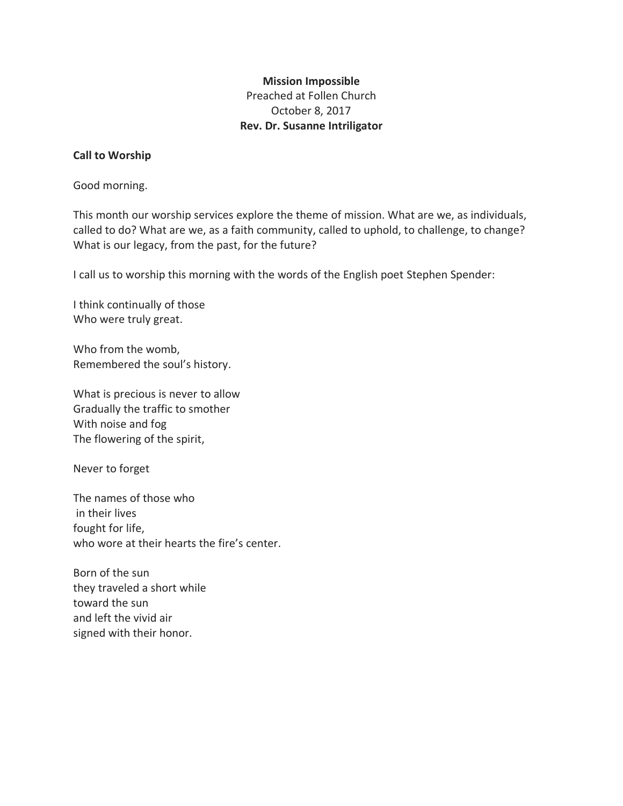# **Mission Impossible** Preached at Follen Church October 8, 2017 **Rev. Dr. Susanne Intriligator**

## **Call to Worship**

Good morning.

This month our worship services explore the theme of mission. What are we, as individuals, called to do? What are we, as a faith community, called to uphold, to challenge, to change? What is our legacy, from the past, for the future?

I call us to worship this morning with the words of the English poet Stephen Spender:

I think continually of those Who were truly great.

Who from the womb, Remembered the soul's history.

What is precious is never to allow Gradually the traffic to smother With noise and fog The flowering of the spirit,

Never to forget

The names of those who in their lives fought for life, who wore at their hearts the fire's center.

Born of the sun they traveled a short while toward the sun and left the vivid air signed with their honor.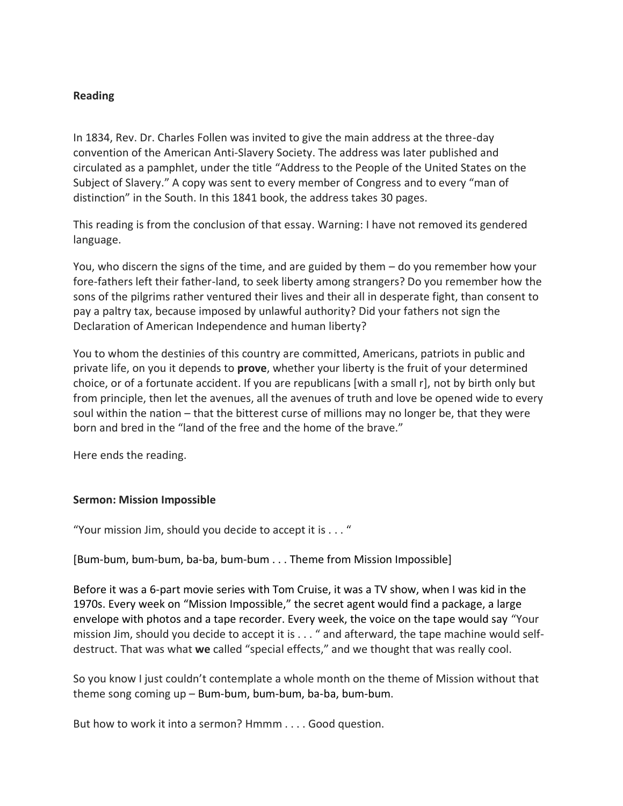## **Reading**

In 1834, Rev. Dr. Charles Follen was invited to give the main address at the three-day convention of the American Anti-Slavery Society. The address was later published and circulated as a pamphlet, under the title "Address to the People of the United States on the Subject of Slavery." A copy was sent to every member of Congress and to every "man of distinction" in the South. In this 1841 book, the address takes 30 pages.

This reading is from the conclusion of that essay. Warning: I have not removed its gendered language.

You, who discern the signs of the time, and are guided by them – do you remember how your fore-fathers left their father-land, to seek liberty among strangers? Do you remember how the sons of the pilgrims rather ventured their lives and their all in desperate fight, than consent to pay a paltry tax, because imposed by unlawful authority? Did your fathers not sign the Declaration of American Independence and human liberty?

You to whom the destinies of this country are committed, Americans, patriots in public and private life, on you it depends to **prove**, whether your liberty is the fruit of your determined choice, or of a fortunate accident. If you are republicans [with a small r], not by birth only but from principle, then let the avenues, all the avenues of truth and love be opened wide to every soul within the nation – that the bitterest curse of millions may no longer be, that they were born and bred in the "land of the free and the home of the brave."

Here ends the reading.

#### **Sermon: Mission Impossible**

"Your mission Jim, should you decide to accept it is . . . "

[Bum-bum, bum-bum, ba-ba, bum-bum . . . Theme from Mission Impossible]

Before it was a 6-part movie series with Tom Cruise, it was a TV show, when I was kid in the 1970s. Every week on "Mission Impossible," the secret agent would find a package, a large envelope with photos and a tape recorder. Every week, the voice on the tape would say "Your mission Jim, should you decide to accept it is . . . " and afterward, the tape machine would selfdestruct. That was what **we** called "special effects," and we thought that was really cool.

So you know I just couldn't contemplate a whole month on the theme of Mission without that theme song coming up – Bum-bum, bum-bum, ba-ba, bum-bum.

But how to work it into a sermon? Hmmm . . . . Good question.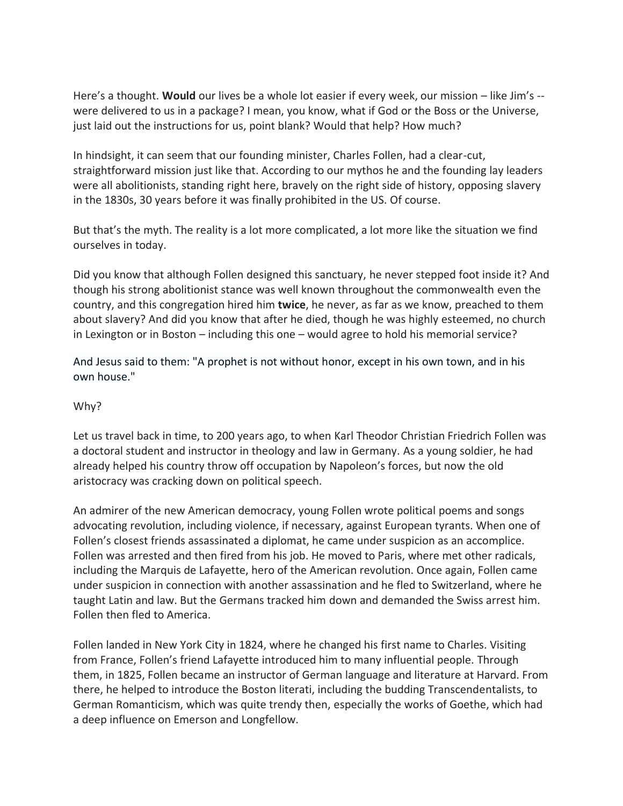Here's a thought. **Would** our lives be a whole lot easier if every week, our mission – like Jim's - were delivered to us in a package? I mean, you know, what if God or the Boss or the Universe, just laid out the instructions for us, point blank? Would that help? How much?

In hindsight, it can seem that our founding minister, Charles Follen, had a clear-cut, straightforward mission just like that. According to our mythos he and the founding lay leaders were all abolitionists, standing right here, bravely on the right side of history, opposing slavery in the 1830s, 30 years before it was finally prohibited in the US. Of course.

But that's the myth. The reality is a lot more complicated, a lot more like the situation we find ourselves in today.

Did you know that although Follen designed this sanctuary, he never stepped foot inside it? And though his strong abolitionist stance was well known throughout the commonwealth even the country, and this congregation hired him **twice**, he never, as far as we know, preached to them about slavery? And did you know that after he died, though he was highly esteemed, no church in Lexington or in Boston – including this one – would agree to hold his memorial service?

And Jesus said to them: "A prophet is not without honor, except in his own town, and in his own house."

## Why?

Let us travel back in time, to 200 years ago, to when Karl Theodor Christian Friedrich Follen was a doctoral student and instructor in theology and law in Germany. As a young soldier, he had already helped his country throw off occupation by Napoleon's forces, but now the old aristocracy was cracking down on political speech.

An admirer of the new American democracy, young Follen wrote political poems and songs advocating revolution, including violence, if necessary, against European tyrants. When one of Follen's closest friends assassinated a diplomat, he came under suspicion as an accomplice. Follen was arrested and then fired from his job. He moved to Paris, where met other radicals, including the Marquis de Lafayette, hero of the American revolution. Once again, Follen came under suspicion in connection with another assassination and he fled to Switzerland, where he taught Latin and law. But the Germans tracked him down and demanded the Swiss arrest him. Follen then fled to America.

Follen landed in New York City in 1824, where he changed his first name to Charles. Visiting from France, Follen's friend Lafayette introduced him to many influential people. Through them, in 1825, Follen became an instructor of German language and literature at Harvard. From there, he helped to introduce the Boston literati, including the budding Transcendentalists, to German Romanticism, which was quite trendy then, especially the works of Goethe, which had a deep influence on Emerson and Longfellow.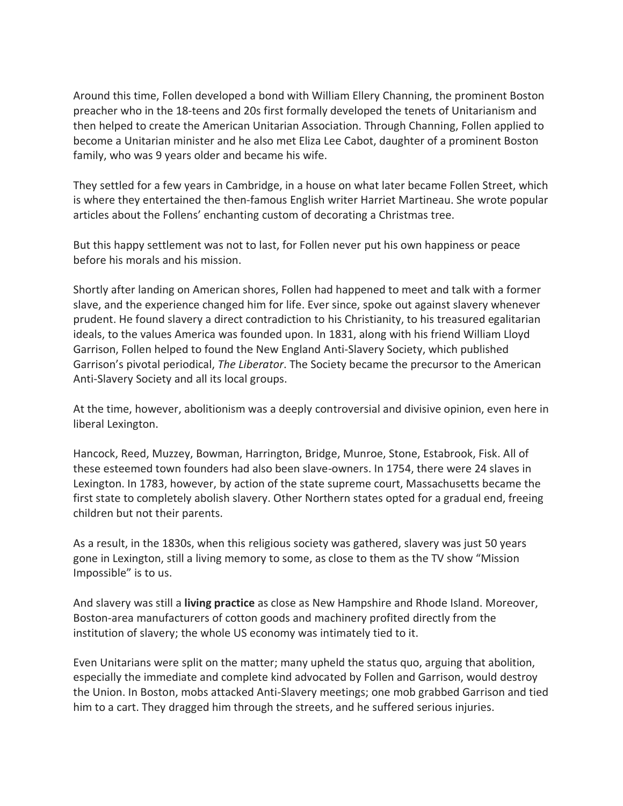Around this time, Follen developed a bond with William Ellery Channing, the prominent Boston preacher who in the 18-teens and 20s first formally developed the tenets of Unitarianism and then helped to create the American Unitarian Association. Through Channing, Follen applied to become a Unitarian minister and he also met Eliza Lee Cabot, daughter of a prominent Boston family, who was 9 years older and became his wife.

They settled for a few years in Cambridge, in a house on what later became Follen Street, which is where they entertained the then-famous English writer Harriet Martineau. She wrote popular articles about the Follens' enchanting custom of decorating a Christmas tree.

But this happy settlement was not to last, for Follen never put his own happiness or peace before his morals and his mission.

Shortly after landing on American shores, Follen had happened to meet and talk with a former slave, and the experience changed him for life. Ever since, spoke out against slavery whenever prudent. He found slavery a direct contradiction to his Christianity, to his treasured egalitarian ideals, to the values America was founded upon. In 1831, along with his friend William Lloyd Garrison, Follen helped to found the New England Anti-Slavery Society, which published Garrison's pivotal periodical, *The Liberator*. The Society became the precursor to the American Anti-Slavery Society and all its local groups.

At the time, however, abolitionism was a deeply controversial and divisive opinion, even here in liberal Lexington.

Hancock, Reed, Muzzey, Bowman, Harrington, Bridge, Munroe, Stone, Estabrook, Fisk. All of these esteemed town founders had also been slave-owners. In 1754, there were 24 slaves in Lexington. In 1783, however, by action of the state supreme court, Massachusetts became the first state to completely abolish slavery. Other Northern states opted for a gradual end, freeing children but not their parents.

As a result, in the 1830s, when this religious society was gathered, slavery was just 50 years gone in Lexington, still a living memory to some, as close to them as the TV show "Mission Impossible" is to us.

And slavery was still a **living practice** as close as New Hampshire and Rhode Island. Moreover, Boston-area manufacturers of cotton goods and machinery profited directly from the institution of slavery; the whole US economy was intimately tied to it.

Even Unitarians were split on the matter; many upheld the status quo, arguing that abolition, especially the immediate and complete kind advocated by Follen and Garrison, would destroy the Union. In Boston, mobs attacked Anti-Slavery meetings; one mob grabbed Garrison and tied him to a cart. They dragged him through the streets, and he suffered serious injuries.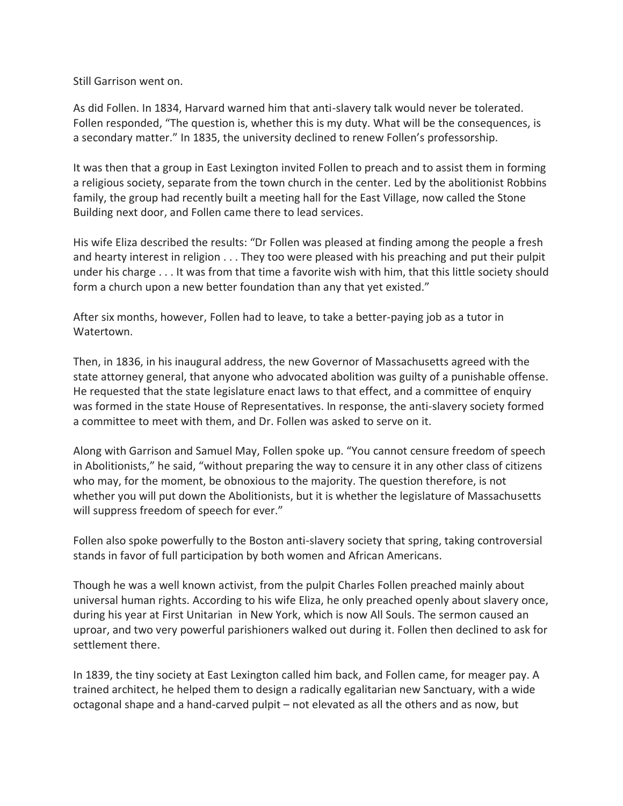Still Garrison went on.

As did Follen. In 1834, Harvard warned him that anti-slavery talk would never be tolerated. Follen responded, "The question is, whether this is my duty. What will be the consequences, is a secondary matter." In 1835, the university declined to renew Follen's professorship.

It was then that a group in East Lexington invited Follen to preach and to assist them in forming a religious society, separate from the town church in the center. Led by the abolitionist Robbins family, the group had recently built a meeting hall for the East Village, now called the Stone Building next door, and Follen came there to lead services.

His wife Eliza described the results: "Dr Follen was pleased at finding among the people a fresh and hearty interest in religion . . . They too were pleased with his preaching and put their pulpit under his charge . . . It was from that time a favorite wish with him, that this little society should form a church upon a new better foundation than any that yet existed."

After six months, however, Follen had to leave, to take a better-paying job as a tutor in Watertown.

Then, in 1836, in his inaugural address, the new Governor of Massachusetts agreed with the state attorney general, that anyone who advocated abolition was guilty of a punishable offense. He requested that the state legislature enact laws to that effect, and a committee of enquiry was formed in the state House of Representatives. In response, the anti-slavery society formed a committee to meet with them, and Dr. Follen was asked to serve on it.

Along with Garrison and Samuel May, Follen spoke up. "You cannot censure freedom of speech in Abolitionists," he said, "without preparing the way to censure it in any other class of citizens who may, for the moment, be obnoxious to the majority. The question therefore, is not whether you will put down the Abolitionists, but it is whether the legislature of Massachusetts will suppress freedom of speech for ever."

Follen also spoke powerfully to the Boston anti-slavery society that spring, taking controversial stands in favor of full participation by both women and African Americans.

Though he was a well known activist, from the pulpit Charles Follen preached mainly about universal human rights. According to his wife Eliza, he only preached openly about slavery once, during his year at First Unitarian in New York, which is now All Souls. The sermon caused an uproar, and two very powerful parishioners walked out during it. Follen then declined to ask for settlement there.

In 1839, the tiny society at East Lexington called him back, and Follen came, for meager pay. A trained architect, he helped them to design a radically egalitarian new Sanctuary, with a wide octagonal shape and a hand-carved pulpit – not elevated as all the others and as now, but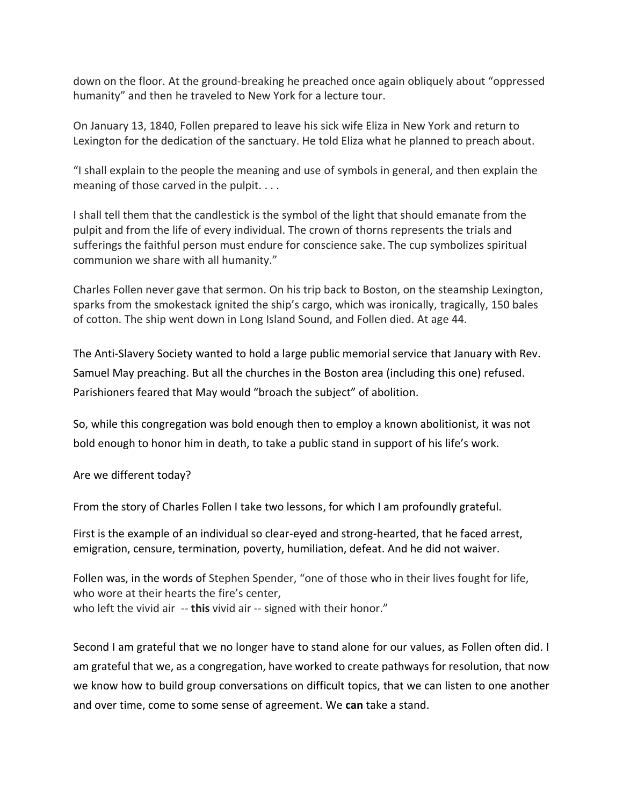down on the floor. At the ground-breaking he preached once again obliquely about "oppressed humanity" and then he traveled to New York for a lecture tour.

On January 13, 1840, Follen prepared to leave his sick wife Eliza in New York and return to Lexington for the dedication of the sanctuary. He told Eliza what he planned to preach about.

"I shall explain to the people the meaning and use of symbols in general, and then explain the meaning of those carved in the pulpit. . . .

I shall tell them that the candlestick is the symbol of the light that should emanate from the pulpit and from the life of every individual. The crown of thorns represents the trials and sufferings the faithful person must endure for conscience sake. The cup symbolizes spiritual communion we share with all humanity."

Charles Follen never gave that sermon. On his trip back to Boston, on the steamship Lexington, sparks from the smokestack ignited the ship's cargo, which was ironically, tragically, 150 bales of cotton. The ship went down in Long Island Sound, and Follen died. At age 44.

The Anti-Slavery Society wanted to hold a large public memorial service that January with Rev. Samuel May preaching. But all the churches in the Boston area (including this one) refused. Parishioners feared that May would "broach the subject" of abolition.

So, while this congregation was bold enough then to employ a known abolitionist, it was not bold enough to honor him in death, to take a public stand in support of his life's work.

Are we different today?

From the story of Charles Follen I take two lessons, for which I am profoundly grateful.

First is the example of an individual so clear-eyed and strong-hearted, that he faced arrest, emigration, censure, termination, poverty, humiliation, defeat. And he did not waiver.

Follen was, in the words of Stephen Spender, "one of those who in their lives fought for life, who wore at their hearts the fire's center, who left the vivid air -- **this** vivid air -- signed with their honor."

Second I am grateful that we no longer have to stand alone for our values, as Follen often did. I am grateful that we, as a congregation, have worked to create pathways for resolution, that now we know how to build group conversations on difficult topics, that we can listen to one another and over time, come to some sense of agreement. We **can** take a stand.